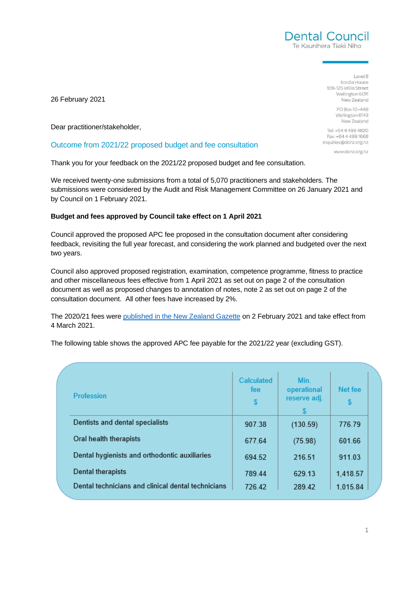Level 8 Kordia House 109-125 Willis Street Wellington 6011 New Zealand

**Dental Council** Te Kaunihera Tiaki Niho

> PO Box 10-448 Wellington 6143 New Zealand

Tel: +64 4 499 4820 Fax: +64 4 499 1668 inquiries@dcnz.org.nz

www.dcnz.org.nz

26 February 2021

Dear practitioner/stakeholder,

# Outcome from 2021/22 proposed budget and fee consultation

Thank you for your feedback on the 2021/22 proposed budget and fee consultation.

We received twenty-one submissions from a total of 5,070 practitioners and stakeholders. The submissions were considered by the Audit and Risk Management Committee on 26 January 2021 and by Council on 1 February 2021.

# **Budget and fees approved by Council take effect on 1 April 2021**

Council approved the proposed APC fee proposed in the consultation document after considering feedback, revisiting the full year forecast, and considering the work planned and budgeted over the next two years.

Council also approved proposed registration, examination, competence programme, fitness to practice and other miscellaneous fees effective from 1 April 2021 as set out on page 2 of the consultation document as well as proposed changes to annotation of notes, note 2 as set out on page 2 of the consultation document. All other fees have increased by 2%.

The 2020/21 fees were [published in the New Zealand Gazette](https://gazette.govt.nz/notice/id/2020-gs489) on 2 February 2021 and take effect from 4 March 2021.

The following table shows the approved APC fee payable for the 2021/22 year (excluding GST).

| <b>Profession</b>                                  | Calculated<br>fee<br>S | Min.<br>operational<br>reserve adj.<br>S | Net fee  |
|----------------------------------------------------|------------------------|------------------------------------------|----------|
| Dentists and dental specialists                    | 907.38                 | (130.59)                                 | 776.79   |
| Oral health therapists                             | 677.64                 | (75.98)                                  | 601.66   |
| Dental hygienists and orthodontic auxiliaries      | 694.52                 | 216.51                                   | 911.03   |
| Dental therapists                                  | 789.44                 | 629.13                                   | 1,418.57 |
| Dental technicians and clinical dental technicians | 726.42                 | 289.42                                   | 1.015.84 |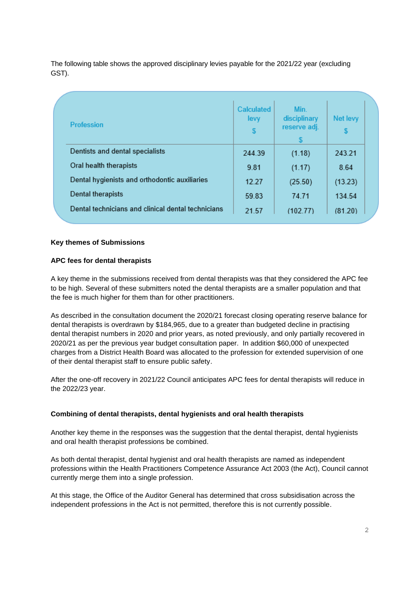The following table shows the approved disciplinary levies payable for the 2021/22 year (excluding GST).

| <b>Profession</b>                                  | <b>Calculated</b><br>levy<br><b>S</b> | Min.<br>disciplinary<br>reserve adj.<br><sup>\$</sup> | <b>Net levy</b> |
|----------------------------------------------------|---------------------------------------|-------------------------------------------------------|-----------------|
| Dentists and dental specialists                    | 244.39                                | (1.18)                                                | 243.21          |
| Oral health therapists                             | 9.81                                  | (1.17)                                                | 8.64            |
| Dental hygienists and orthodontic auxiliaries      | 12.27                                 | (25.50)                                               | (13.23)         |
| Dental therapists                                  | 59.83                                 | 74.71                                                 | 134.54          |
| Dental technicians and clinical dental technicians | 21.57                                 | (102.77)                                              | (81.20)         |

# **Key themes of Submissions**

## **APC fees for dental therapists**

A key theme in the submissions received from dental therapists was that they considered the APC fee to be high. Several of these submitters noted the dental therapists are a smaller population and that the fee is much higher for them than for other practitioners.

As described in the consultation document the 2020/21 forecast closing operating reserve balance for dental therapists is overdrawn by \$184,965, due to a greater than budgeted decline in practising dental therapist numbers in 2020 and prior years, as noted previously, and only partially recovered in 2020/21 as per the previous year budget consultation paper. In addition \$60,000 of unexpected charges from a District Health Board was allocated to the profession for extended supervision of one of their dental therapist staff to ensure public safety.

After the one-off recovery in 2021/22 Council anticipates APC fees for dental therapists will reduce in the 2022/23 year.

#### **Combining of dental therapists, dental hygienists and oral health therapists**

Another key theme in the responses was the suggestion that the dental therapist, dental hygienists and oral health therapist professions be combined.

As both dental therapist, dental hygienist and oral health therapists are named as independent professions within the Health Practitioners Competence Assurance Act 2003 (the Act), Council cannot currently merge them into a single profession.

At this stage, the Office of the Auditor General has determined that cross subsidisation across the independent professions in the Act is not permitted, therefore this is not currently possible.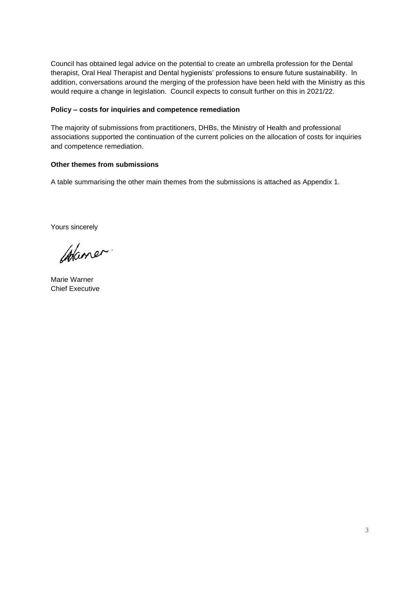Council has obtained legal advice on the potential to create an umbrella profession for the Dental therapist, Oral Heal Therapist and Dental hygienists' professions to ensure future sustainability. In addition, conversations around the merging of the profession have been held with the Ministry as this would require a change in legislation. Council expects to consult further on this in 2021/22.

## **Policy – costs for inquiries and competence remediation**

The majority of submissions from practitioners, DHBs, the Ministry of Health and professional associations supported the continuation of the current policies on the allocation of costs for inquiries and competence remediation.

## **Other themes from submissions**

A table summarising the other main themes from the submissions is attached as Appendix 1.

Yours sincerely

Waner.

Marie Warner Chief Executive